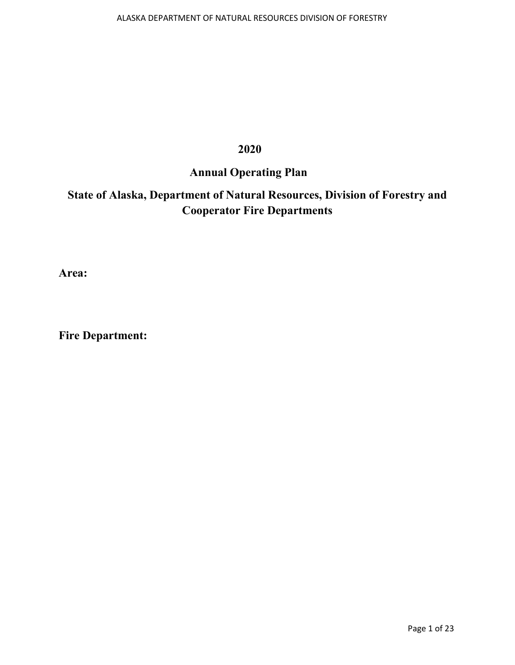## **2020**

## **Annual Operating Plan**

# **State of Alaska, Department of Natural Resources, Division of Forestry and Cooperator Fire Departments**

**Area:**

**Fire Department:**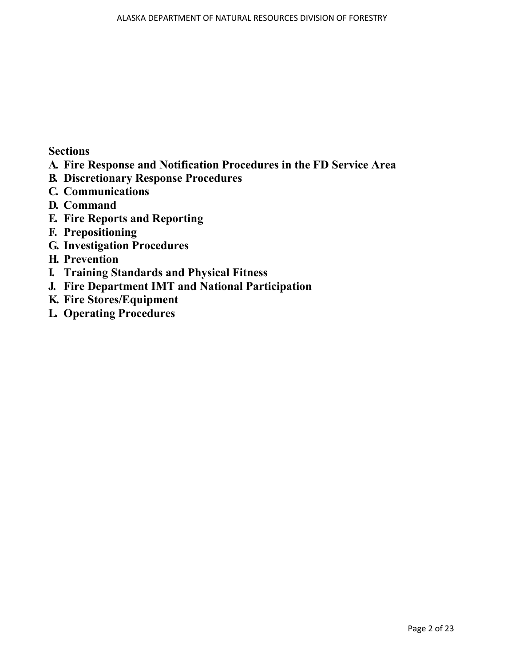## **Sections**

- **A. Fire Response and Notification Procedures in the FD Service Area**
- **B. Discretionary Response Procedures**
- **C. Communications**
- **D. Command**
- **E. Fire Reports and Reporting**
- **F. Prepositioning**
- **G. Investigation Procedures**
- **H. Prevention**
- **I. Training Standards and Physical Fitness**
- **J. Fire Department IMT and National Participation**
- **K. Fire Stores/Equipment**
- **L. Operating Procedures**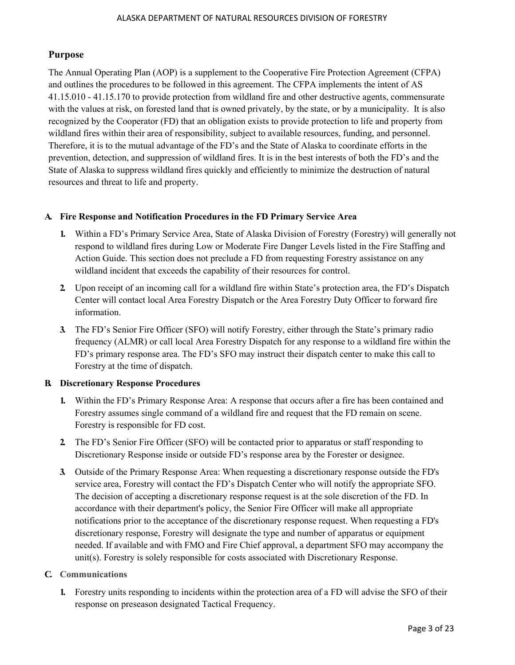## **Purpose**

The Annual Operating Plan (AOP) is a supplement to the Cooperative Fire Protection Agreement (CFPA) and outlines the procedures to be followed in this agreement. The CFPA implements the intent of AS 41.15.010 - 41.15.170 to provide protection from wildland fire and other destructive agents, commensurate with the values at risk, on forested land that is owned privately, by the state, or by a municipality. It is also recognized by the Cooperator (FD) that an obligation exists to provide protection to life and property from wildland fires within their area of responsibility, subject to available resources, funding, and personnel. Therefore, it is to the mutual advantage of the FD's and the State of Alaska to coordinate efforts in the prevention, detection, and suppression of wildland fires. It is in the best interests of both the FD's and the State of Alaska to suppress wildland fires quickly and efficiently to minimize the destruction of natural resources and threat to life and property.

#### **A. Fire Response and Notification Procedures in the FD Primary Service Area**

- **1.** Within a FD's Primary Service Area, State of Alaska Division of Forestry (Forestry) will generally not respond to wildland fires during Low or Moderate Fire Danger Levels listed in the Fire Staffing and Action Guide. This section does not preclude a FD from requesting Forestry assistance on any wildland incident that exceeds the capability of their resources for control.
- **2.** Upon receipt of an incoming call for a wildland fire within State's protection area, the FD's Dispatch Center will contact local Area Forestry Dispatch or the Area Forestry Duty Officer to forward fire information.
- **3.** The FD's Senior Fire Officer (SFO) will notify Forestry, either through the State's primary radio frequency (ALMR) or call local Area Forestry Dispatch for any response to a wildland fire within the FD's primary response area. The FD's SFO may instruct their dispatch center to make this call to Forestry at the time of dispatch.

## **B. Discretionary Response Procedures**

- **1.** Within the FD's Primary Response Area: A response that occurs after a fire has been contained and Forestry assumes single command of a wildland fire and request that the FD remain on scene. Forestry is responsible for FD cost.
- **2.** The FD's Senior Fire Officer (SFO) will be contacted prior to apparatus or staff responding to Discretionary Response inside or outside FD's response area by the Forester or designee.
- **3.** Outside of the Primary Response Area: When requesting a discretionary response outside the FD's service area, Forestry will contact the FD's Dispatch Center who will notify the appropriate SFO. The decision of accepting a discretionary response request is at the sole discretion of the FD. In accordance with their department's policy, the Senior Fire Officer will make all appropriate notifications prior to the acceptance of the discretionary response request. When requesting a FD's discretionary response, Forestry will designate the type and number of apparatus or equipment needed. If available and with FMO and Fire Chief approval, a department SFO may accompany the unit(s). Forestry is solely responsible for costs associated with Discretionary Response.

## **C. Communications**

**1.** Forestry units responding to incidents within the protection area of a FD will advise the SFO of their response on preseason designated Tactical Frequency.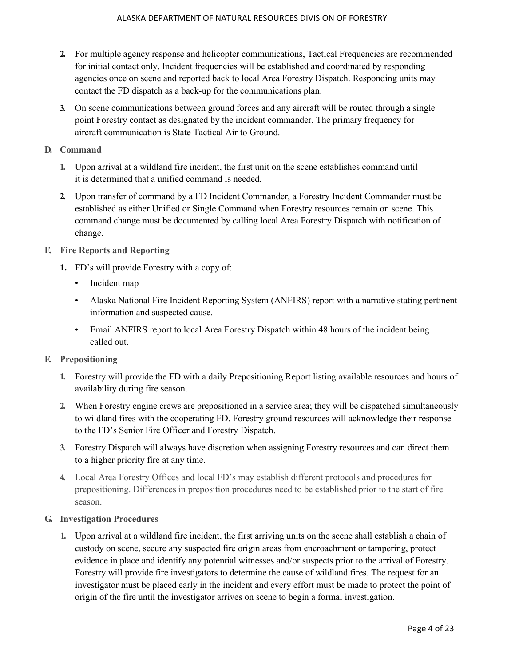- **2.** For multiple agency response and helicopter communications, Tactical Frequencies are recommended for initial contact only. Incident frequencies will be established and coordinated by responding agencies once on scene and reported back to local Area Forestry Dispatch. Responding units may contact the FD dispatch as a back‐up for the communications plan.
- **3.** On scene communications between ground forces and any aircraft will be routed through a single point Forestry contact as designated by the incident commander. The primary frequency for aircraft communication is State Tactical Air to Ground.

#### **D. Command**

- **1.** Upon arrival at a wildland fire incident, the first unit on the scene establishes command until it is determined that a unified command is needed.
- **2.** Upon transfer of command by a FD Incident Commander, a Forestry Incident Commander must be established as either Unified or Single Command when Forestry resources remain on scene. This command change must be documented by calling local Area Forestry Dispatch with notification of change.

#### **E. Fire Reports and Reporting**

- **1.** FD's will provide Forestry with a copy of:
	- Incident map
	- Alaska National Fire Incident Reporting System (ANFIRS) report with a narrative stating pertinent information and suspected cause.
	- Email ANFIRS report to local Area Forestry Dispatch within 48 hours of the incident being called out.

#### **F. Prepositioning**

- **1.** Forestry will provide the FD with a daily Prepositioning Report listing available resources and hours of availability during fire season.
- **2.** When Forestry engine crews are prepositioned in a service area; they will be dispatched simultaneously to wildland fires with the cooperating FD. Forestry ground resources will acknowledge their response to the FD's Senior Fire Officer and Forestry Dispatch.
- **3.** Forestry Dispatch will always have discretion when assigning Forestry resources and can direct them to a higher priority fire at any time.
- **4.** Local Area Forestry Offices and local FD's may establish different protocols and procedures for prepositioning. Differences in preposition procedures need to be established prior to the start of fire season.

## **G. Investigation Procedures**

**1.** Upon arrival at a wildland fire incident, the first arriving units on the scene shall establish a chain of custody on scene, secure any suspected fire origin areas from encroachment or tampering, protect evidence in place and identify any potential witnesses and/or suspects prior to the arrival of Forestry. Forestry will provide fire investigators to determine the cause of wildland fires. The request for an investigator must be placed early in the incident and every effort must be made to protect the point of origin of the fire until the investigator arrives on scene to begin a formal investigation.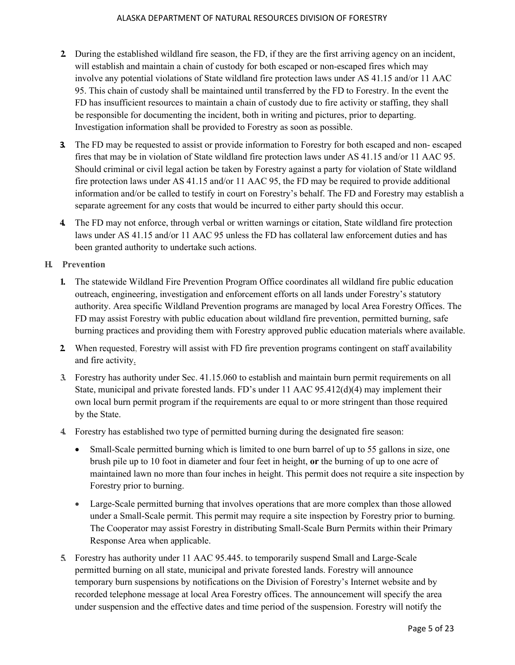- **2.** During the established wildland fire season, the FD, if they are the first arriving agency on an incident, will establish and maintain a chain of custody for both escaped or non-escaped fires which may involve any potential violations of State wildland fire protection laws under AS 41.15 and/or 11 AAC 95. This chain of custody shall be maintained until transferred by the FD to Forestry. In the event the FD has insufficient resources to maintain a chain of custody due to fire activity or staffing, they shall be responsible for documenting the incident, both in writing and pictures, prior to departing. Investigation information shall be provided to Forestry as soon as possible.
- **3.** The FD may be requested to assist or provide information to Forestry for both escaped and non- escaped fires that may be in violation of State wildland fire protection laws under AS 41.15 and/or 11 AAC 95. Should criminal or civil legal action be taken by Forestry against a party for violation of State wildland fire protection laws under AS 41.15 and/or 11 AAC 95, the FD may be required to provide additional information and/or be called to testify in court on Forestry's behalf. The FD and Forestry may establish a separate agreement for any costs that would be incurred to either party should this occur.
- **4.** The FD may not enforce, through verbal or written warnings or citation, State wildland fire protection laws under AS 41.15 and/or 11 AAC 95 unless the FD has collateral law enforcement duties and has been granted authority to undertake such actions.

## **H. Prevention**

- **1.** The statewide Wildland Fire Prevention Program Office coordinates all wildland fire public education outreach, engineering, investigation and enforcement efforts on all lands under Forestry's statutory authority. Area specific Wildland Prevention programs are managed by local Area Forestry Offices. The FD may assist Forestry with public education about wildland fire prevention, permitted burning, safe burning practices and providing them with Forestry approved public education materials where available.
- **2.** When requested, Forestry will assist with FD fire prevention programs contingent on staff availability and fire activity.
- **3.** Forestry has authority under Sec. 41.15.060 to establish and maintain burn permit requirements on all State, municipal and private forested lands. FD's under  $11$  AAC  $95.412(d)(4)$  may implement their own local burn permit program if the requirements are equal to or more stringent than those required by the State.
- **4.** Forestry has established two type of permitted burning during the designated fire season:
	- Small-Scale permitted burning which is limited to one burn barrel of up to 55 gallons in size, one brush pile up to 10 foot in diameter and four feet in height, **or** the burning of up to one acre of maintained lawn no more than four inches in height. This permit does not require a site inspection by Forestry prior to burning.
	- Large-Scale permitted burning that involves operations that are more complex than those allowed under a Small-Scale permit. This permit may require a site inspection by Forestry prior to burning. The Cooperator may assist Forestry in distributing Small-Scale Burn Permits within their Primary Response Area when applicable.
- **5.** Forestry has authority under 11 AAC 95.445. to temporarily suspend Small and Large-Scale permitted burning on all state, municipal and private forested lands. Forestry will announce temporary burn suspensions by notifications on the Division of Forestry's Internet website and by recorded telephone message at local Area Forestry offices. The announcement will specify the area under suspension and the effective dates and time period of the suspension. Forestry will notify the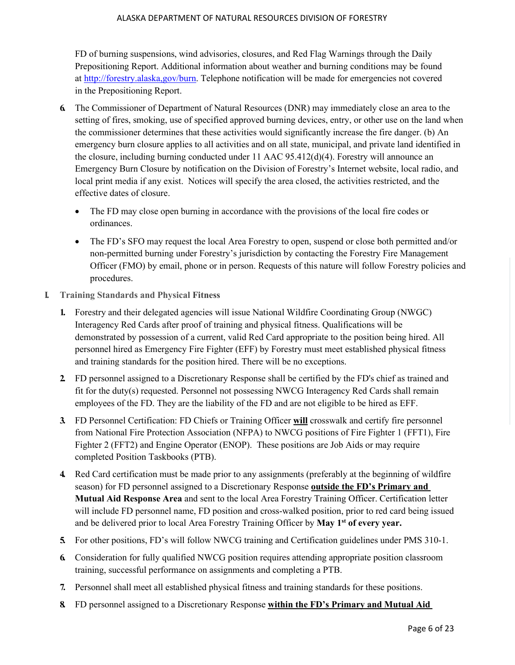FD of burning suspensions, wind advisories, closures, and Red Flag Warnings through the Daily Prepositioning Report. Additional information about weather and burning conditions may be found at [http://forestry.alaska,gov/burn.](http://forestry.alaska,gov/burn) Telephone notification will be made for emergencies not covered in the Prepositioning Report.

- **6.** The Commissioner of Department of Natural Resources (DNR) may immediately close an area to the setting of fires, smoking, use of specified approved burning devices, entry, or other use on the land when the commissioner determines that these activities would significantly increase the fire danger. (b) An emergency burn closure applies to all activities and on all state, municipal, and private land identified in the closure, including burning conducted under 11 AAC 95.412(d)(4). Forestry will announce an Emergency Burn Closure by notification on the Division of Forestry's Internet website, local radio, and local print media if any exist. Notices will specify the area closed, the activities restricted, and the effective dates of closure.
	- The FD may close open burning in accordance with the provisions of the local fire codes or ordinances.
	- The FD's SFO may request the local Area Forestry to open, suspend or close both permitted and/or non-permitted burning under Forestry's jurisdiction by contacting the Forestry Fire Management Officer (FMO) by email, phone or in person. Requests of this nature will follow Forestry policies and procedures.
- **I. Training Standards and Physical Fitness**
	- **1.** Forestry and their delegated agencies will issue National Wildfire Coordinating Group (NWGC) Interagency Red Cards after proof of training and physical fitness. Qualifications will be demonstrated by possession of a current, valid Red Card appropriate to the position being hired. All personnel hired as Emergency Fire Fighter (EFF) by Forestry must meet established physical fitness and training standards for the position hired. There will be no exceptions.
	- **2.** FD personnel assigned to a Discretionary Response shall be certified by the FD's chief as trained and fit for the duty(s) requested. Personnel not possessing NWCG Interagency Red Cards shall remain employees of the FD. They are the liability of the FD and are not eligible to be hired as EFF.
	- **3.** FD Personnel Certification: FD Chiefs or Training Officer **will** crosswalk and certify fire personnel from National Fire Protection Association (NFPA) to NWCG positions of Fire Fighter 1 (FFT1), Fire Fighter 2 (FFT2) and Engine Operator (ENOP). These positions are Job Aids or may require completed Position Taskbooks (PTB).
	- **4.** Red Card certification must be made prior to any assignments (preferably at the beginning of wildfire season) for FD personnel assigned to a Discretionary Response **outside the FD's Primary and Mutual Aid Response Area** and sent to the local Area Forestry Training Officer. Certification letter will include FD personnel name, FD position and cross-walked position, prior to red card being issued and be delivered prior to local Area Forestry Training Officer by **May 1st of every year.**
	- **5.** For other positions, FD's will follow NWCG training and Certification guidelines under PMS 310-1.
	- **6.** Consideration for fully qualified NWCG position requires attending appropriate position classroom training, successful performance on assignments and completing a PTB.
	- **7.** Personnel shall meet all established physical fitness and training standards for these positions.
	- **8.** FD personnel assigned to a Discretionary Response **within the FD's Primary and Mutual Aid**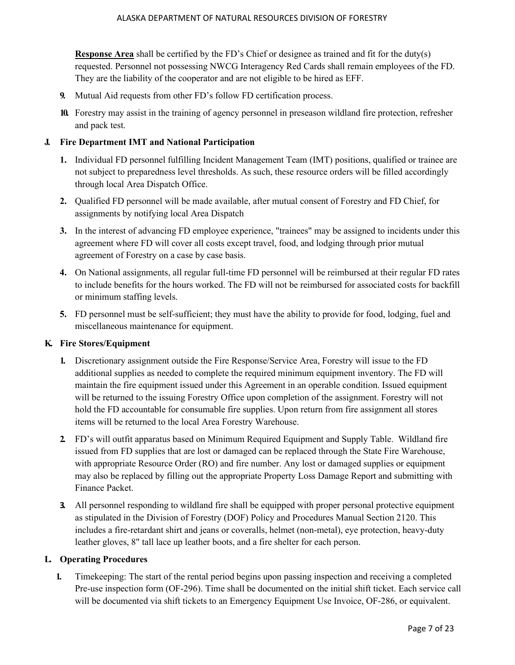**Response Area** shall be certified by the FD's Chief or designee as trained and fit for the duty(s) requested. Personnel not possessing NWCG Interagency Red Cards shall remain employees of the FD. They are the liability of the cooperator and are not eligible to be hired as EFF.

- **9.** Mutual Aid requests from other FD's follow FD certification process.
- **10.** Forestry may assist in the training of agency personnel in preseason wildland fire protection, refresher and pack test.

#### **J. Fire Department IMT and National Participation**

- **1.** Individual FD personnel fulfilling Incident Management Team (IMT) positions, qualified or trainee are not subject to preparedness level thresholds. As such, these resource orders will be filled accordingly through local Area Dispatch Office.
- **2.** Qualified FD personnel will be made available, after mutual consent of Forestry and FD Chief, for assignments by notifying local Area Dispatch
- **3.** In the interest of advancing FD employee experience, "trainees" may be assigned to incidents under this agreement where FD will cover all costs except travel, food, and lodging through prior mutual agreement of Forestry on a case by case basis.
- **4.** On National assignments, all regular full-time FD personnel will be reimbursed at their regular FD rates to include benefits for the hours worked. The FD will not be reimbursed for associated costs for backfill or minimum staffing levels.
- **5.** FD personnel must be self-sufficient; they must have the ability to provide for food, lodging, fuel and miscellaneous maintenance for equipment.

#### **K. Fire Stores/Equipment**

- **1.** Discretionary assignment outside the Fire Response/Service Area, Forestry will issue to the FD additional supplies as needed to complete the required minimum equipment inventory. The FD will maintain the fire equipment issued under this Agreement in an operable condition. Issued equipment will be returned to the issuing Forestry Office upon completion of the assignment. Forestry will not hold the FD accountable for consumable fire supplies. Upon return from fire assignment all stores items will be returned to the local Area Forestry Warehouse.
- **2.** FD's will outfit apparatus based on Minimum Required Equipment and Supply Table. Wildland fire issued from FD supplies that are lost or damaged can be replaced through the State Fire Warehouse, with appropriate Resource Order (RO) and fire number. Any lost or damaged supplies or equipment may also be replaced by filling out the appropriate Property Loss Damage Report and submitting with Finance Packet.
- **3.** All personnel responding to wildland fire shall be equipped with proper personal protective equipment as stipulated in the Division of Forestry (DOF) Policy and Procedures Manual Section 2120. This includes a fire-retardant shirt and jeans or coveralls, helmet (non-metal), eye protection, heavy-duty leather gloves, 8" tall lace up leather boots, and a fire shelter for each person.

#### **L. Operating Procedures**

**1.** Timekeeping: The start of the rental period begins upon passing inspection and receiving a completed Pre-use inspection form (OF-296). Time shall be documented on the initial shift ticket. Each service call will be documented via shift tickets to an Emergency Equipment Use Invoice, OF-286, or equivalent.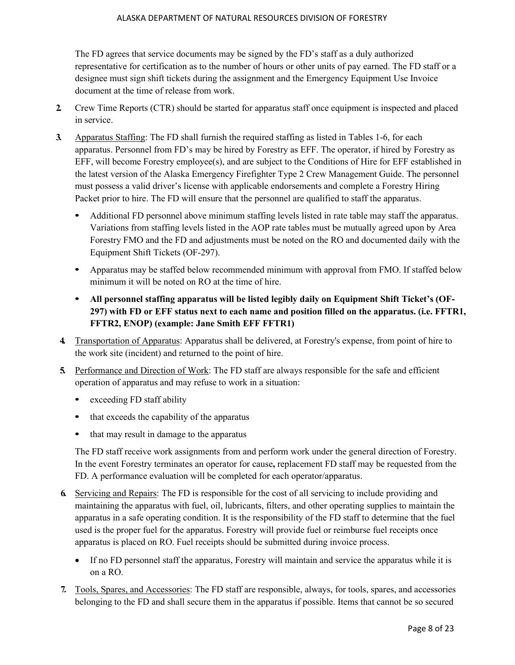The FD agrees that service documents may be signed by the FD's staff as a duly authorized representative for certification as to the number of hours or other units of pay earned. The FD staff or a designee must sign shift tickets during the assignment and the Emergency Equipment Use Invoice document at the time of release from work.

- **2.** Crew Time Reports (CTR) should be started for apparatus staff once equipment is inspected and placed in service.
- **3.** Apparatus Staffing: The FD shall furnish the required staffing as listed in Tables 1-6, for each apparatus. Personnel from FD's may be hired by Forestry as EFF. The operator, if hired by Forestry as EFF, will become Forestry employee(s), and are subject to the Conditions of Hire for EFF established in the latest version of the Alaska Emergency Firefighter Type 2 Crew Management Guide. The personnel must possess a valid driver's license with applicable endorsements and complete a Forestry Hiring Packet prior to hire. The FD will ensure that the personnel are qualified to staff the apparatus.
	- **•** Additional FD personnel above minimum staffing levels listed in rate table may staff the apparatus. Variations from staffing levels listed in the AOP rate tables must be mutually agreed upon by Area Forestry FMO and the FD and adjustments must be noted on the RO and documented daily with the Equipment Shift Tickets (OF-297).
	- **•** Apparatus may be staffed below recommended minimum with approval from FMO. If staffed below minimum it will be noted on RO at the time of hire.
	- **• All personnel staffing apparatus will be listed legibly daily on Equipment Shift Ticket's (OF-297) with FD or EFF status next to each name and position filled on the apparatus. (i.e. FFTR1, FFTR2, ENOP) (example: Jane Smith EFF FFTR1)**
- **4.** Transportation of Apparatus: Apparatus shall be delivered, at Forestry's expense, from point of hire to the work site (incident) and returned to the point of hire.
- **5.** Performance and Direction of Work: The FD staff are always responsible for the safe and efficient operation of apparatus and may refuse to work in a situation:
	- **•** exceeding FD staff ability
	- that exceeds the capability of the apparatus
	- **•** that may result in damage to the apparatus

The FD staff receive work assignments from and perform work under the general direction of Forestry. In the event Forestry terminates an operator for cause**,** replacement FD staff may be requested from the FD. A performance evaluation will be completed for each operator/apparatus.

- **6.** Servicing and Repairs: The FD is responsible for the cost of all servicing to include providing and maintaining the apparatus with fuel, oil, lubricants, filters, and other operating supplies to maintain the apparatus in a safe operating condition. It is the responsibility of the FD staff to determine that the fuel used is the proper fuel for the apparatus. Forestry will provide fuel or reimburse fuel receipts once apparatus is placed on RO. Fuel receipts should be submitted during invoice process.
	- If no FD personnel staff the apparatus, Forestry will maintain and service the apparatus while it is on a RO.
- **7.** Tools, Spares, and Accessories: The FD staff are responsible, always, for tools, spares, and accessories belonging to the FD and shall secure them in the apparatus if possible. Items that cannot be so secured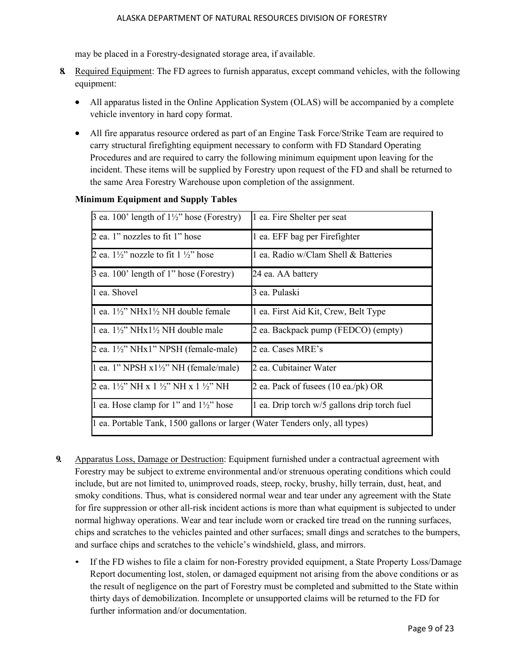may be placed in a Forestry-designated storage area, if available.

- **8.** Required Equipment: The FD agrees to furnish apparatus, except command vehicles, with the following equipment:
	- All apparatus listed in the Online Application System (OLAS) will be accompanied by a complete vehicle inventory in hard copy format.
	- All fire apparatus resource ordered as part of an Engine Task Force/Strike Team are required to carry structural firefighting equipment necessary to conform with FD Standard Operating Procedures and are required to carry the following minimum equipment upon leaving for the incident. These items will be supplied by Forestry upon request of the FD and shall be returned to the same Area Forestry Warehouse upon completion of the assignment.

| $\beta$ ea. 100' length of 1½" hose (Forestry)                              | 1 ea. Fire Shelter per seat                            |
|-----------------------------------------------------------------------------|--------------------------------------------------------|
| 2 ea. 1" nozzles to fit 1" hose                                             | 1 ea. EFF bag per Firefighter                          |
| 2 ea. $1\frac{1}{2}$ " nozzle to fit $1\frac{1}{2}$ " hose                  | 1 ea. Radio w/Clam Shell & Batteries                   |
| 3 ea. 100' length of 1" hose (Forestry)                                     | 24 ea. AA battery                                      |
| 1 ea. Shovel                                                                | 3 ea. Pulaski                                          |
| 1 ea. $1\frac{1}{2}$ " NHx $1\frac{1}{2}$ NH double female                  | 1 ea. First Aid Kit, Crew, Belt Type                   |
| 1 ea. $1\frac{1}{2}$ " NHx1 $\frac{1}{2}$ NH double male                    | 2 ea. Backpack pump (FEDCO) (empty)                    |
| 2 ea. 1½" NHx1" NPSH (female-male)                                          | 2 ea. Cases MRE's                                      |
| 1 ea. 1" NPSH $x1\frac{1}{2}$ " NH (female/male)                            | 2 ea. Cubitainer Water                                 |
| 2 ea. 1½" NH x 1 ½" NH x 1 ½" NH                                            | 2 ea. Pack of fusees $(10 \text{ ea./pk}) \text{ OR }$ |
| 1 ea. Hose clamp for 1" and $1\frac{1}{2}$ " hose                           | 1 ea. Drip torch w/5 gallons drip torch fuel           |
| 1 ea. Portable Tank, 1500 gallons or larger (Water Tenders only, all types) |                                                        |

#### **Minimum Equipment and Supply Tables**

- **9.** Apparatus Loss, Damage or Destruction: Equipment furnished under a contractual agreement with Forestry may be subject to extreme environmental and/or strenuous operating conditions which could include, but are not limited to, unimproved roads, steep, rocky, brushy, hilly terrain, dust, heat, and smoky conditions. Thus, what is considered normal wear and tear under any agreement with the State for fire suppression or other all-risk incident actions is more than what equipment is subjected to under normal highway operations. Wear and tear include worn or cracked tire tread on the running surfaces, chips and scratches to the vehicles painted and other surfaces; small dings and scratches to the bumpers, and surface chips and scratches to the vehicle's windshield, glass, and mirrors.
	- If the FD wishes to file a claim for non-Forestry provided equipment, a State Property Loss/Damage Report documenting lost, stolen, or damaged equipment not arising from the above conditions or as the result of negligence on the part of Forestry must be completed and submitted to the State within thirty days of demobilization. Incomplete or unsupported claims will be returned to the FD for further information and/or documentation.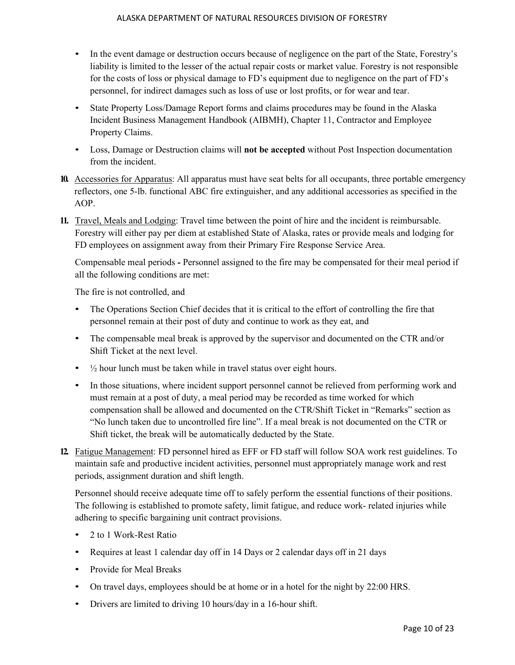- In the event damage or destruction occurs because of negligence on the part of the State, Forestry's liability is limited to the lesser of the actual repair costs or market value. Forestry is not responsible for the costs of loss or physical damage to FD's equipment due to negligence on the part of FD's personnel, for indirect damages such as loss of use or lost profits, or for wear and tear.
- State Property Loss/Damage Report forms and claims procedures may be found in the Alaska Incident Business Management Handbook (AIBMH), Chapter 11, Contractor and Employee Property Claims.
- Loss, Damage or Destruction claims will **not be accepted** without Post Inspection documentation from the incident.
- **10.** Accessories for Apparatus: All apparatus must have seat belts for all occupants, three portable emergency reflectors, one 5-lb. functional ABC fire extinguisher, and any additional accessories as specified in the AOP.
- **11.** Travel, Meals and Lodging: Travel time between the point of hire and the incident is reimbursable. Forestry will either pay per diem at established State of Alaska, rates or provide meals and lodging for FD employees on assignment away from their Primary Fire Response Service Area.

Compensable meal periods *-* Personnel assigned to the fire may be compensated for their meal period if all the following conditions are met:

The fire is not controlled, and

- The Operations Section Chief decides that it is critical to the effort of controlling the fire that personnel remain at their post of duty and continue to work as they eat, and
- The compensable meal break is approved by the supervisor and documented on the CTR and/or Shift Ticket at the next level.
- $\bullet$   $\frac{1}{2}$  hour lunch must be taken while in travel status over eight hours.
- In those situations, where incident support personnel cannot be relieved from performing work and must remain at a post of duty, a meal period may be recorded as time worked for which compensation shall be allowed and documented on the CTR/Shift Ticket in "Remarks" section as "No lunch taken due to uncontrolled fire line". If a meal break is not documented on the CTR or Shift ticket, the break will be automatically deducted by the State.
- **12.** Fatigue Management: FD personnel hired as EFF or FD staff will follow SOA work rest guidelines. To maintain safe and productive incident activities, personnel must appropriately manage work and rest periods, assignment duration and shift length.

Personnel should receive adequate time off to safely perform the essential functions of their positions. The following is established to promote safety, limit fatigue, and reduce work- related injuries while adhering to specific bargaining unit contract provisions.

- 2 to 1 Work-Rest Ratio
- Requires at least 1 calendar day off in 14 Days or 2 calendar days off in 21 days
- Provide for Meal Breaks
- On travel days, employees should be at home or in a hotel for the night by 22:00 HRS.
- Drivers are limited to driving 10 hours/day in a 16-hour shift.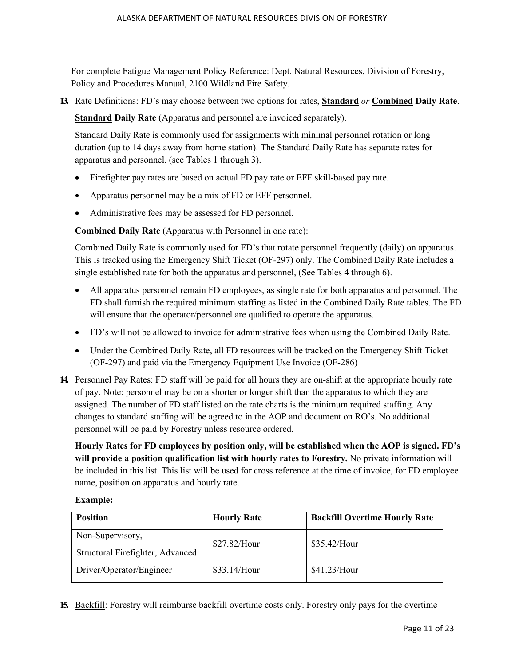For complete Fatigue Management Policy Reference: Dept. Natural Resources, Division of Forestry, Policy and Procedures Manual, 2100 Wildland Fire Safety.

**13.** Rate Definitions: FD's may choose between two options for rates, **Standard** *or* **Combined Daily Rate**.

**Standard Daily Rate** (Apparatus and personnel are invoiced separately).

Standard Daily Rate is commonly used for assignments with minimal personnel rotation or long duration (up to 14 days away from home station). The Standard Daily Rate has separate rates for apparatus and personnel, (see Tables 1 through 3).

- Firefighter pay rates are based on actual FD pay rate or EFF skill-based pay rate.
- Apparatus personnel may be a mix of FD or EFF personnel.
- Administrative fees may be assessed for FD personnel.

**Combined Daily Rate** (Apparatus with Personnel in one rate):

Combined Daily Rate is commonly used for FD's that rotate personnel frequently (daily) on apparatus. This is tracked using the Emergency Shift Ticket (OF-297) only. The Combined Daily Rate includes a single established rate for both the apparatus and personnel, (See Tables 4 through 6).

- All apparatus personnel remain FD employees, as single rate for both apparatus and personnel. The FD shall furnish the required minimum staffing as listed in the Combined Daily Rate tables. The FD will ensure that the operator/personnel are qualified to operate the apparatus.
- FD's will not be allowed to invoice for administrative fees when using the Combined Daily Rate.
- Under the Combined Daily Rate, all FD resources will be tracked on the Emergency Shift Ticket (OF-297) and paid via the Emergency Equipment Use Invoice (OF-286)
- **14.** Personnel Pay Rates: FD staff will be paid for all hours they are on-shift at the appropriate hourly rate of pay. Note: personnel may be on a shorter or longer shift than the apparatus to which they are assigned. The number of FD staff listed on the rate charts is the minimum required staffing. Any changes to standard staffing will be agreed to in the AOP and document on RO's. No additional personnel will be paid by Forestry unless resource ordered.

**Hourly Rates for FD employees by position only, will be established when the AOP is signed. FD's will provide a position qualification list with hourly rates to Forestry.** No private information will be included in this list. This list will be used for cross reference at the time of invoice, for FD employee name, position on apparatus and hourly rate.

#### **Example:**

| <b>Position</b>                                      | <b>Hourly Rate</b> | <b>Backfill Overtime Hourly Rate</b> |
|------------------------------------------------------|--------------------|--------------------------------------|
| Non-Supervisory,<br>Structural Firefighter, Advanced | \$27.82/Hour       | \$35.42/Hour                         |
| Driver/Operator/Engineer                             | \$33.14/Hour       | \$41.23/Hour                         |

**15.** Backfill: Forestry will reimburse backfill overtime costs only. Forestry only pays for the overtime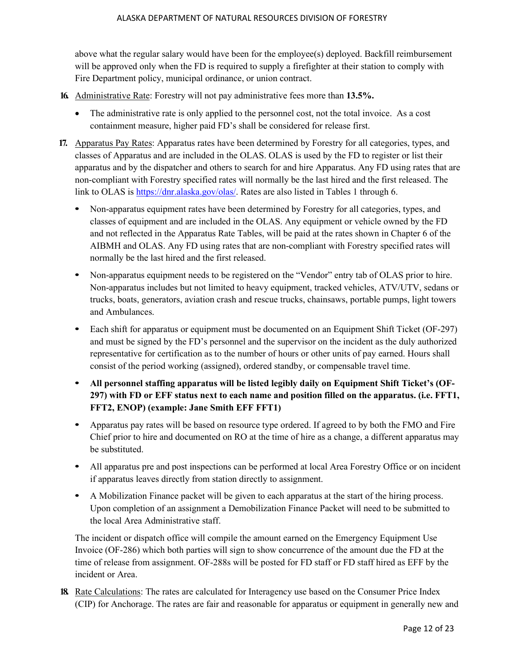above what the regular salary would have been for the employee(s) deployed. Backfill reimbursement will be approved only when the FD is required to supply a firefighter at their station to comply with Fire Department policy, municipal ordinance, or union contract.

- **16.** Administrative Rate: Forestry will not pay administrative fees more than **13.5%.**
	- The administrative rate is only applied to the personnel cost, not the total invoice. As a cost containment measure, higher paid FD's shall be considered for release first.
- **17.** Apparatus Pay Rates: Apparatus rates have been determined by Forestry for all categories, types, and classes of Apparatus and are included in the OLAS. OLAS is used by the FD to register or list their apparatus and by the dispatcher and others to search for and hire Apparatus. Any FD using rates that are non-compliant with Forestry specified rates will normally be the last hired and the first released. The link to OLAS is [https://dnr.alaska.gov/olas/.](https://dnr.alaska.gov/olas/) Rates are also listed in Tables 1 through 6.
	- **•** Non-apparatus equipment rates have been determined by Forestry for all categories, types, and classes of equipment and are included in the OLAS. Any equipment or vehicle owned by the FD and not reflected in the Apparatus Rate Tables, will be paid at the rates shown in Chapter 6 of the AIBMH and OLAS. Any FD using rates that are non-compliant with Forestry specified rates will normally be the last hired and the first released.
	- **•** Non-apparatus equipment needs to be registered on the "Vendor" entry tab of OLAS prior to hire. Non-apparatus includes but not limited to heavy equipment, tracked vehicles, ATV/UTV, sedans or trucks, boats, generators, aviation crash and rescue trucks, chainsaws, portable pumps, light towers and Ambulances.
	- **•** Each shift for apparatus or equipment must be documented on an Equipment Shift Ticket (OF-297) and must be signed by the FD's personnel and the supervisor on the incident as the duly authorized representative for certification as to the number of hours or other units of pay earned. Hours shall consist of the period working (assigned), ordered standby, or compensable travel time.
	- **• All personnel staffing apparatus will be listed legibly daily on Equipment Shift Ticket's (OF-297) with FD or EFF status next to each name and position filled on the apparatus. (i.e. FFT1, FFT2, ENOP) (example: Jane Smith EFF FFT1)**
	- **•** Apparatus pay rates will be based on resource type ordered. If agreed to by both the FMO and Fire Chief prior to hire and documented on RO at the time of hire as a change, a different apparatus may be substituted.
	- All apparatus pre and post inspections can be performed at local Area Forestry Office or on incident if apparatus leaves directly from station directly to assignment.
	- A Mobilization Finance packet will be given to each apparatus at the start of the hiring process. Upon completion of an assignment a Demobilization Finance Packet will need to be submitted to the local Area Administrative staff.

The incident or dispatch office will compile the amount earned on the Emergency Equipment Use Invoice (OF-286) which both parties will sign to show concurrence of the amount due the FD at the time of release from assignment. OF-288s will be posted for FD staff or FD staff hired as EFF by the incident or Area.

**18.** Rate Calculations: The rates are calculated for Interagency use based on the Consumer Price Index (CIP) for Anchorage. The rates are fair and reasonable for apparatus or equipment in generally new and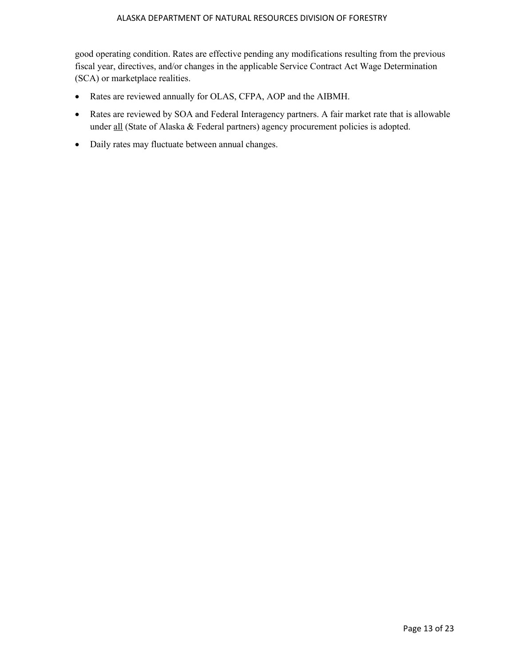good operating condition. Rates are effective pending any modifications resulting from the previous fiscal year, directives, and/or changes in the applicable Service Contract Act Wage Determination (SCA) or marketplace realities.

- Rates are reviewed annually for OLAS, CFPA, AOP and the AIBMH.
- Rates are reviewed by SOA and Federal Interagency partners. A fair market rate that is allowable under all (State of Alaska & Federal partners) agency procurement policies is adopted.
- Daily rates may fluctuate between annual changes.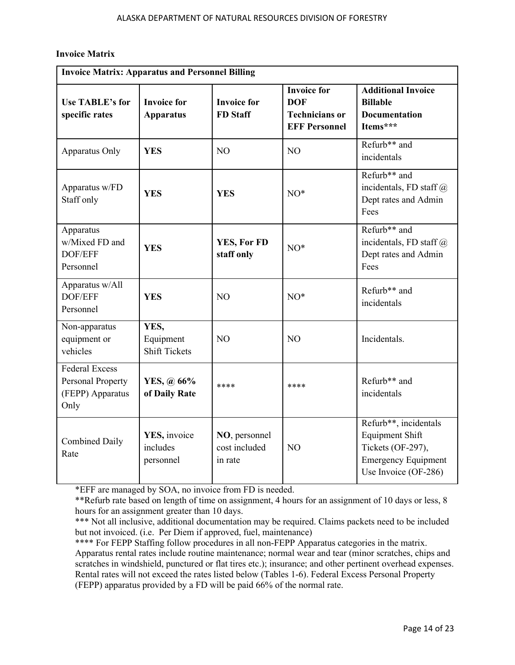#### **Invoice Matrix**

| <b>Invoice Matrix: Apparatus and Personnel Billing</b>                 |                                           |                                           |                                                                                   |                                                                                                                            |  |
|------------------------------------------------------------------------|-------------------------------------------|-------------------------------------------|-----------------------------------------------------------------------------------|----------------------------------------------------------------------------------------------------------------------------|--|
| <b>Use TABLE's for</b><br>specific rates                               | <b>Invoice for</b><br><b>Apparatus</b>    | <b>Invoice for</b><br><b>FD</b> Staff     | <b>Invoice for</b><br><b>DOF</b><br><b>Technicians or</b><br><b>EFF Personnel</b> | <b>Additional Invoice</b><br><b>Billable</b><br><b>Documentation</b><br>Items***                                           |  |
| Apparatus Only                                                         | <b>YES</b>                                | NO                                        | NO                                                                                | Refurb <sup>**</sup> and<br>incidentals                                                                                    |  |
| Apparatus w/FD<br>Staff only                                           | <b>YES</b>                                | <b>YES</b>                                | $NO^*$                                                                            | Refurb <sup>**</sup> and<br>incidentals, FD staff $@$<br>Dept rates and Admin<br>Fees                                      |  |
| Apparatus<br>w/Mixed FD and<br>DOF/EFF<br>Personnel                    | <b>YES</b>                                | YES, For FD<br>staff only                 | $NO^*$                                                                            | Refurb <sup>**</sup> and<br>incidentals, FD staff $@$<br>Dept rates and Admin<br>Fees                                      |  |
| Apparatus w/All<br>DOF/EFF<br>Personnel                                | <b>YES</b>                                | N <sub>O</sub>                            | $NO^*$                                                                            | Refurb <sup>**</sup> and<br>incidentals                                                                                    |  |
| Non-apparatus<br>equipment or<br>vehicles                              | YES,<br>Equipment<br><b>Shift Tickets</b> | N <sub>O</sub>                            | NO.                                                                               | Incidentals.                                                                                                               |  |
| <b>Federal Excess</b><br>Personal Property<br>(FEPP) Apparatus<br>Only | YES, @ 66%<br>of Daily Rate               | ****                                      | ****                                                                              | Refurb <sup>**</sup> and<br>incidentals                                                                                    |  |
| <b>Combined Daily</b><br>Rate                                          | YES, invoice<br>includes<br>personnel     | NO, personnel<br>cost included<br>in rate | NO                                                                                | Refurb**, incidentals<br><b>Equipment Shift</b><br>Tickets (OF-297),<br><b>Emergency Equipment</b><br>Use Invoice (OF-286) |  |

\*EFF are managed by SOA, no invoice from FD is needed.

\*\*Refurb rate based on length of time on assignment, 4 hours for an assignment of 10 days or less, 8 hours for an assignment greater than 10 days.

\*\*\* Not all inclusive, additional documentation may be required. Claims packets need to be included but not invoiced. (i.e. Per Diem if approved, fuel, maintenance)

\*\*\*\* For FEPP Staffing follow procedures in all non-FEPP Apparatus categories in the matrix. Apparatus rental rates include routine maintenance; normal wear and tear (minor scratches, chips and scratches in windshield, punctured or flat tires etc.); insurance; and other pertinent overhead expenses. Rental rates will not exceed the rates listed below (Tables 1-6). Federal Excess Personal Property (FEPP) apparatus provided by a FD will be paid 66% of the normal rate.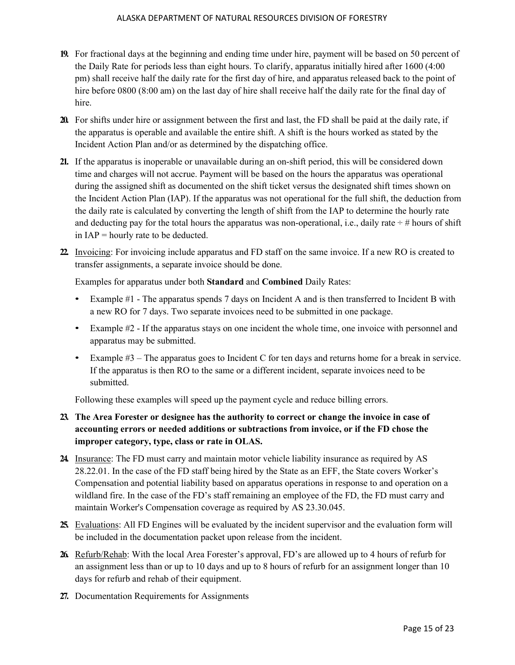- **19.** For fractional days at the beginning and ending time under hire, payment will be based on 50 percent of the Daily Rate for periods less than eight hours. To clarify, apparatus initially hired after 1600 (4:00 pm) shall receive half the daily rate for the first day of hire, and apparatus released back to the point of hire before 0800 (8:00 am) on the last day of hire shall receive half the daily rate for the final day of hire.
- **20.** For shifts under hire or assignment between the first and last, the FD shall be paid at the daily rate, if the apparatus is operable and available the entire shift. A shift is the hours worked as stated by the Incident Action Plan and/or as determined by the dispatching office.
- **21.** If the apparatus is inoperable or unavailable during an on-shift period, this will be considered down time and charges will not accrue. Payment will be based on the hours the apparatus was operational during the assigned shift as documented on the shift ticket versus the designated shift times shown on the Incident Action Plan (IAP). If the apparatus was not operational for the full shift, the deduction from the daily rate is calculated by converting the length of shift from the IAP to determine the hourly rate and deducting pay for the total hours the apparatus was non-operational, i.e., daily rate  $\div \#$  hours of shift in  $IAP =$  hourly rate to be deducted.
- **22.** Invoicing: For invoicing include apparatus and FD staff on the same invoice. If a new RO is created to transfer assignments, a separate invoice should be done.

Examples for apparatus under both **Standard** and **Combined** Daily Rates:

- Example #1 The apparatus spends 7 days on Incident A and is then transferred to Incident B with a new RO for 7 days. Two separate invoices need to be submitted in one package.
- Example #2 If the apparatus stays on one incident the whole time, one invoice with personnel and apparatus may be submitted.
- Example #3 The apparatus goes to Incident C for ten days and returns home for a break in service. If the apparatus is then RO to the same or a different incident, separate invoices need to be submitted.

Following these examples will speed up the payment cycle and reduce billing errors.

## **23. The Area Forester or designee has the authority to correct or change the invoice in case of accounting errors or needed additions or subtractions from invoice, or if the FD chose the improper category, type, class or rate in OLAS.**

- **24.** Insurance: The FD must carry and maintain motor vehicle liability insurance as required by AS 28.22.01. In the case of the FD staff being hired by the State as an EFF, the State covers Worker's Compensation and potential liability based on apparatus operations in response to and operation on a wildland fire. In the case of the FD's staff remaining an employee of the FD, the FD must carry and maintain Worker's Compensation coverage as required by AS 23.30.045.
- **25.** Evaluations: All FD Engines will be evaluated by the incident supervisor and the evaluation form will be included in the documentation packet upon release from the incident.
- **26.** Refurb/Rehab: With the local Area Forester's approval, FD's are allowed up to 4 hours of refurb for an assignment less than or up to 10 days and up to 8 hours of refurb for an assignment longer than 10 days for refurb and rehab of their equipment.
- **27.** Documentation Requirements for Assignments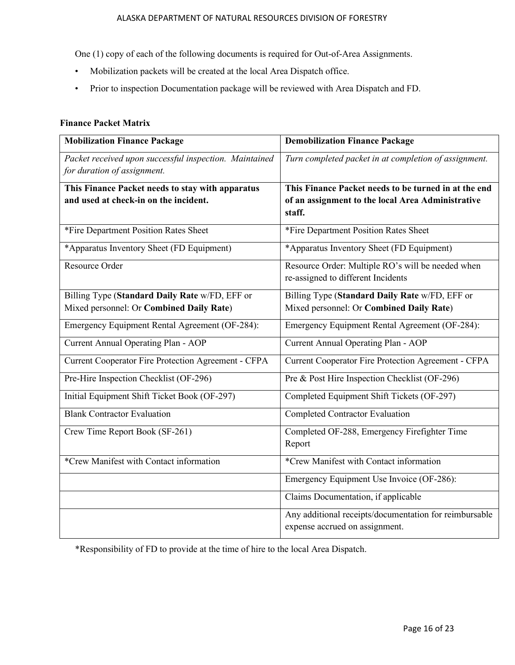One (1) copy of each of the following documents is required for Out-of-Area Assignments.

- Mobilization packets will be created at the local Area Dispatch office.
- Prior to inspection Documentation package will be reviewed with Area Dispatch and FD.

### **Finance Packet Matrix**

| <b>Mobilization Finance Package</b>                                                   | <b>Demobilization Finance Package</b>                       |
|---------------------------------------------------------------------------------------|-------------------------------------------------------------|
| Packet received upon successful inspection. Maintained<br>for duration of assignment. | Turn completed packet in at completion of assignment.       |
| This Finance Packet needs to stay with apparatus                                      | This Finance Packet needs to be turned in at the end        |
| and used at check-in on the incident.                                                 | of an assignment to the local Area Administrative<br>staff. |
| *Fire Department Position Rates Sheet                                                 | *Fire Department Position Rates Sheet                       |
| *Apparatus Inventory Sheet (FD Equipment)                                             | *Apparatus Inventory Sheet (FD Equipment)                   |
| Resource Order                                                                        | Resource Order: Multiple RO's will be needed when           |
|                                                                                       | re-assigned to different Incidents                          |
| Billing Type (Standard Daily Rate w/FD, EFF or                                        | Billing Type (Standard Daily Rate w/FD, EFF or              |
| Mixed personnel: Or Combined Daily Rate)                                              | Mixed personnel: Or Combined Daily Rate)                    |
| Emergency Equipment Rental Agreement (OF-284):                                        | Emergency Equipment Rental Agreement (OF-284):              |
| Current Annual Operating Plan - AOP                                                   | Current Annual Operating Plan - AOP                         |
| <b>Current Cooperator Fire Protection Agreement - CFPA</b>                            | Current Cooperator Fire Protection Agreement - CFPA         |
| Pre-Hire Inspection Checklist (OF-296)                                                | Pre & Post Hire Inspection Checklist (OF-296)               |
| Initial Equipment Shift Ticket Book (OF-297)                                          | Completed Equipment Shift Tickets (OF-297)                  |
| <b>Blank Contractor Evaluation</b>                                                    | <b>Completed Contractor Evaluation</b>                      |
| Crew Time Report Book (SF-261)                                                        | Completed OF-288, Emergency Firefighter Time<br>Report      |
| *Crew Manifest with Contact information                                               | *Crew Manifest with Contact information                     |
|                                                                                       | Emergency Equipment Use Invoice (OF-286):                   |
|                                                                                       | Claims Documentation, if applicable                         |
|                                                                                       |                                                             |
|                                                                                       | Any additional receipts/documentation for reimbursable      |
|                                                                                       | expense accrued on assignment.                              |

\*Responsibility of FD to provide at the time of hire to the local Area Dispatch.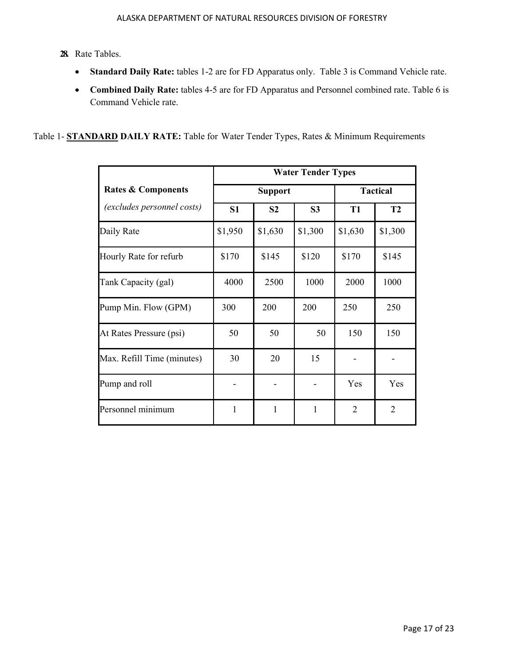- **28.** Rate Tables.
	- **Standard Daily Rate:** tables 1-2 are for FD Apparatus only. Table 3 is Command Vehicle rate.
	- **Combined Daily Rate:** tables 4-5 are for FD Apparatus and Personnel combined rate. Table 6 is Command Vehicle rate.

Table 1- **STANDARD DAILY RATE:** Table for Water Tender Types, Rates & Minimum Requirements

|                                   | <b>Water Tender Types</b> |                |                |                 |                |  |  |  |
|-----------------------------------|---------------------------|----------------|----------------|-----------------|----------------|--|--|--|
| <b>Rates &amp; Components</b>     |                           | <b>Support</b> |                | <b>Tactical</b> |                |  |  |  |
| <i>(excludes personnel costs)</i> | S <sub>1</sub>            | S <sub>2</sub> | S <sub>3</sub> | <b>T1</b>       | <b>T2</b>      |  |  |  |
| Daily Rate                        | \$1,950                   | \$1,630        | \$1,300        | \$1,630         | \$1,300        |  |  |  |
| Hourly Rate for refurb            | \$170                     | \$145          | \$120          | \$170           | \$145          |  |  |  |
| Tank Capacity (gal)               | 4000                      | 2500           | 1000           | 2000            | 1000           |  |  |  |
| Pump Min. Flow (GPM)              | 300                       | 200            | 200            | 250             | 250            |  |  |  |
| At Rates Pressure (psi)           | 50                        | 50             | 50             | 150             | 150            |  |  |  |
| Max. Refill Time (minutes)        | 30                        | 20             | 15             |                 |                |  |  |  |
| Pump and roll                     |                           |                |                | Yes             | Yes            |  |  |  |
| Personnel minimum                 | 1                         | 1              | 1              | $\overline{2}$  | $\overline{2}$ |  |  |  |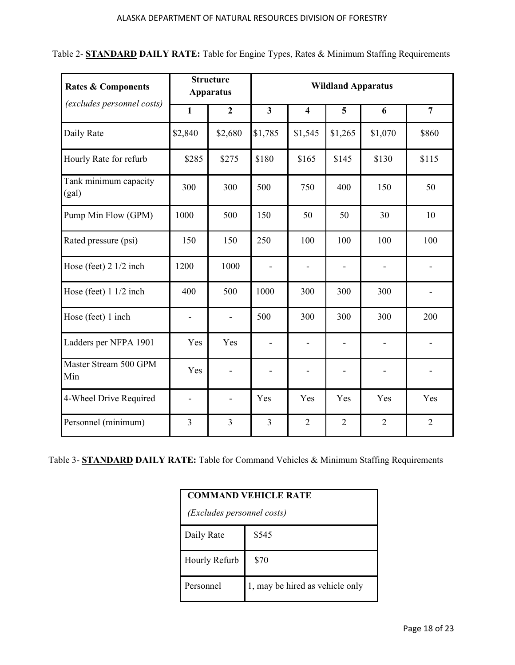| Table 2- <b>STANDARD DAILY RATE:</b> Table for Engine Types, Rates & Minimum Staffing Requirements |  |  |  |
|----------------------------------------------------------------------------------------------------|--|--|--|
|                                                                                                    |  |  |  |

| <b>Rates &amp; Components</b>    | <b>Structure</b><br><b>Apparatus</b> |                          | <b>Wildland Apparatus</b> |                          |                              |                |                |
|----------------------------------|--------------------------------------|--------------------------|---------------------------|--------------------------|------------------------------|----------------|----------------|
| (excludes personnel costs)       | $\mathbf{1}$                         | $\overline{2}$           | $\overline{\mathbf{3}}$   | $\overline{\mathbf{4}}$  | 5                            | 6              | $\overline{7}$ |
| Daily Rate                       | \$2,840                              | \$2,680                  | \$1,785                   | \$1,545                  | \$1,265                      | \$1,070        | \$860          |
| Hourly Rate for refurb           | \$285                                | \$275                    | \$180                     | \$165                    | \$145                        | \$130          | \$115          |
| Tank minimum capacity<br>(gal)   | 300                                  | 300                      | 500                       | 750                      | 400                          | 150            | 50             |
| Pump Min Flow (GPM)              | 1000                                 | 500                      | 150                       | 50                       | 50                           | 30             | 10             |
| Rated pressure (psi)             | 150                                  | 150                      | 250                       | 100                      | 100                          | 100            | 100            |
| Hose (feet) 2 1/2 inch           | 1200                                 | 1000                     |                           |                          |                              |                |                |
| Hose (feet) $1 \frac{1}{2}$ inch | 400                                  | 500                      | 1000                      | 300                      | 300                          | 300            |                |
| Hose (feet) 1 inch               | $\overline{\phantom{a}}$             | $\blacksquare$           | 500                       | 300                      | 300                          | 300            | 200            |
| Ladders per NFPA 1901            | Yes                                  | Yes                      | $\overline{\phantom{a}}$  | $\overline{\phantom{0}}$ | $\qquad \qquad \blacksquare$ |                |                |
| Master Stream 500 GPM<br>Min     | Yes                                  | $\overline{\phantom{a}}$ |                           | $\overline{\phantom{0}}$ |                              |                |                |
| 4-Wheel Drive Required           |                                      | $\overline{\phantom{a}}$ | Yes                       | Yes                      | Yes                          | Yes            | Yes            |
| Personnel (minimum)              | $\overline{\mathbf{3}}$              | $\overline{\mathbf{3}}$  | 3                         | $\overline{2}$           | $\overline{2}$               | $\overline{2}$ | $\overline{2}$ |

Table 3- **STANDARD DAILY RATE:** Table for Command Vehicles & Minimum Staffing Requirements

| <b>COMMAND VEHICLE RATE</b> |                                 |  |  |  |
|-----------------------------|---------------------------------|--|--|--|
| (Excludes personnel costs)  |                                 |  |  |  |
| Daily Rate                  | \$545                           |  |  |  |
| Hourly Refurb               | \$70                            |  |  |  |
| Personnel                   | 1, may be hired as vehicle only |  |  |  |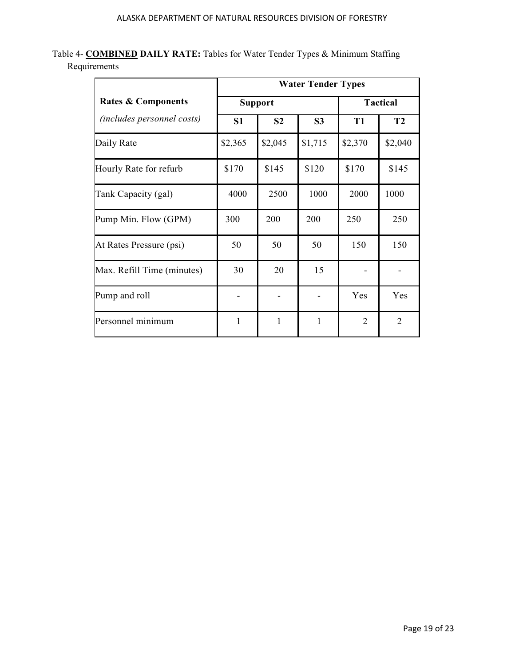Table 4- **COMBINED DAILY RATE:** Tables for Water Tender Types & Minimum Staffing Requirements

|                                   | <b>Water Tender Types</b> |                |                |                 |                |  |
|-----------------------------------|---------------------------|----------------|----------------|-----------------|----------------|--|
| <b>Rates &amp; Components</b>     | <b>Support</b>            |                |                | <b>Tactical</b> |                |  |
| <i>(includes personnel costs)</i> | S <sub>1</sub>            | S <sub>2</sub> | S <sub>3</sub> | <b>T1</b>       | <b>T2</b>      |  |
| Daily Rate                        | \$2,365                   | \$2,045        | \$1,715        | \$2,370         | \$2,040        |  |
| Hourly Rate for refurb            | \$170                     | \$145          | \$120          | \$170           | \$145          |  |
| Tank Capacity (gal)               | 4000                      | 2500           | 1000           | 2000            | 1000           |  |
| Pump Min. Flow (GPM)              | 300                       | 200            | 200            | 250             | 250            |  |
| At Rates Pressure (psi)           | 50                        | 50             | 50             | 150             | 150            |  |
| Max. Refill Time (minutes)        | 30                        | 20             | 15             |                 |                |  |
| Pump and roll                     |                           |                |                | Yes             | Yes            |  |
| Personnel minimum                 | 1                         | 1              | 1              | $\overline{2}$  | $\overline{2}$ |  |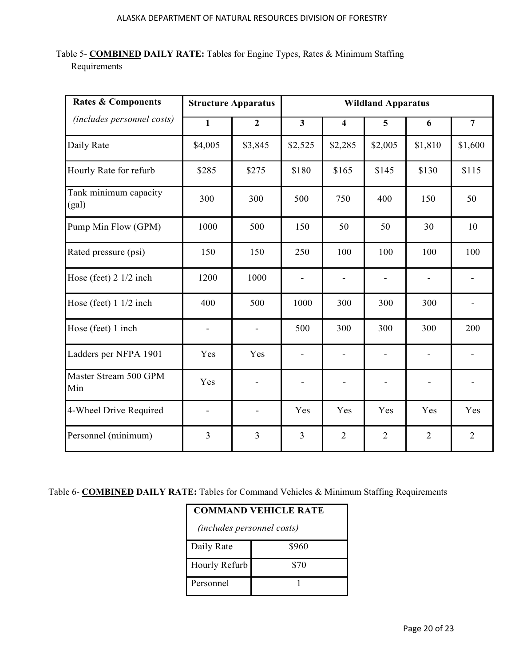| Table 5- COMBINED DAILY RATE: Tables for Engine Types, Rates & Minimum Staffing |  |  |  |
|---------------------------------------------------------------------------------|--|--|--|
| Requirements                                                                    |  |  |  |

| <b>Rates &amp; Components</b>    |                          | <b>Structure Apparatus</b> |                |                         | <b>Wildland Apparatus</b> |                |                |
|----------------------------------|--------------------------|----------------------------|----------------|-------------------------|---------------------------|----------------|----------------|
| (includes personnel costs)       | $\mathbf{1}$             | $\boldsymbol{2}$           | $\mathbf{3}$   | $\overline{\mathbf{4}}$ | 5                         | 6              | $\overline{7}$ |
| Daily Rate                       | \$4,005                  | \$3,845                    | \$2,525        | \$2,285                 | \$2,005                   | \$1,810        | \$1,600        |
| Hourly Rate for refurb           | \$285                    | \$275                      | \$180          | \$165                   | \$145                     | \$130          | \$115          |
| Tank minimum capacity<br>(gal)   | 300                      | 300                        | 500            | 750                     | 400                       | 150            | 50             |
| Pump Min Flow (GPM)              | 1000                     | 500                        | 150            | 50                      | 50                        | 30             | 10             |
| Rated pressure (psi)             | 150                      | 150                        | 250            | 100                     | 100                       | 100            | 100            |
| Hose (feet) $2 \frac{1}{2}$ inch | 1200                     | 1000                       | $\overline{a}$ | $\frac{1}{2}$           | $\overline{\phantom{0}}$  |                |                |
| Hose (feet) $1 \frac{1}{2}$ inch | 400                      | 500                        | 1000           | 300                     | 300                       | 300            |                |
| Hose (feet) 1 inch               | $\overline{\phantom{0}}$ |                            | 500            | 300                     | 300                       | 300            | 200            |
| Ladders per NFPA 1901            | Yes                      | Yes                        |                |                         |                           |                |                |
| Master Stream 500 GPM<br>Min     | Yes                      |                            |                |                         |                           |                |                |
| 4-Wheel Drive Required           | $\overline{\phantom{a}}$ |                            | Yes            | Yes                     | Yes                       | Yes            | Yes            |
| Personnel (minimum)              | 3                        | $\overline{3}$             | 3              | $\overline{2}$          | $\overline{2}$            | $\overline{2}$ | $\overline{2}$ |

Table 6- **COMBINED DAILY RATE:** Tables for Command Vehicles & Minimum Staffing Requirements

| <b>COMMAND VEHICLE RATE</b>       |       |  |  |
|-----------------------------------|-------|--|--|
| <i>(includes personnel costs)</i> |       |  |  |
| Daily Rate                        | \$960 |  |  |
| Hourly Refurb                     | \$70  |  |  |
| Personnel                         |       |  |  |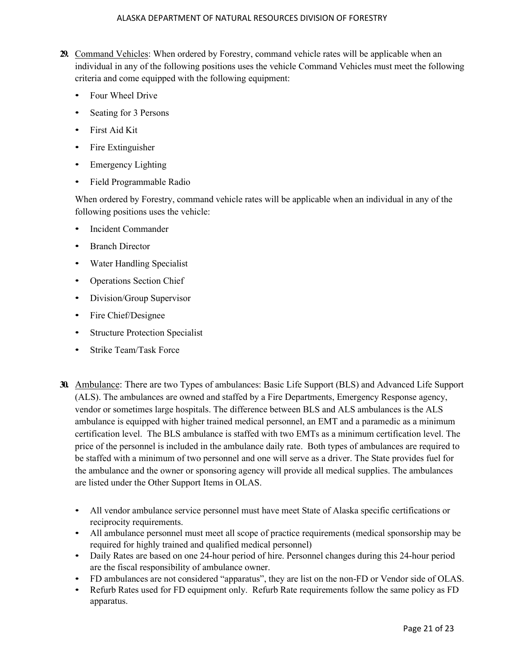- **29.** Command Vehicles: When ordered by Forestry, command vehicle rates will be applicable when an individual in any of the following positions uses the vehicle Command Vehicles must meet the following criteria and come equipped with the following equipment:
	- Four Wheel Drive
	- Seating for 3 Persons
	- First Aid Kit
	- Fire Extinguisher
	- Emergency Lighting
	- Field Programmable Radio

When ordered by Forestry, command vehicle rates will be applicable when an individual in any of the following positions uses the vehicle:

- Incident Commander
- **Branch Director**
- Water Handling Specialist
- Operations Section Chief
- Division/Group Supervisor
- Fire Chief/Designee
- Structure Protection Specialist
- Strike Team/Task Force
- **30.** Ambulance: There are two Types of ambulances: Basic Life Support (BLS) and Advanced Life Support (ALS). The ambulances are owned and staffed by a Fire Departments, Emergency Response agency, vendor or sometimes large hospitals. The difference between BLS and ALS ambulances is the ALS ambulance is equipped with higher trained medical personnel, an EMT and a paramedic as a minimum certification level. The BLS ambulance is staffed with two EMTs as a minimum certification level. The price of the personnel is included in the ambulance daily rate. Both types of ambulances are required to be staffed with a minimum of two personnel and one will serve as a driver. The State provides fuel for the ambulance and the owner or sponsoring agency will provide all medical supplies. The ambulances are listed under the Other Support Items in OLAS.
	- All vendor ambulance service personnel must have meet State of Alaska specific certifications or reciprocity requirements.
	- All ambulance personnel must meet all scope of practice requirements (medical sponsorship may be required for highly trained and qualified medical personnel)
	- Daily Rates are based on one 24-hour period of hire. Personnel changes during this 24-hour period are the fiscal responsibility of ambulance owner.
	- FD ambulances are not considered "apparatus", they are list on the non-FD or Vendor side of OLAS.
	- Refurb Rates used for FD equipment only. Refurb Rate requirements follow the same policy as FD apparatus.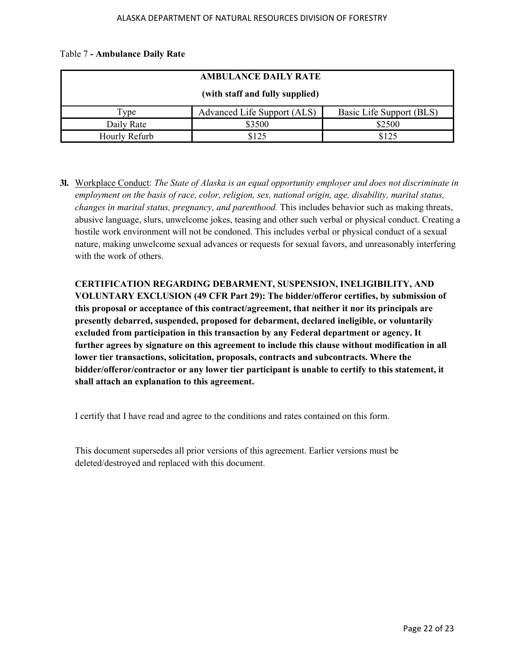| <b>AMBULANCE DAILY RATE</b>     |                             |                          |
|---------------------------------|-----------------------------|--------------------------|
| (with staff and fully supplied) |                             |                          |
| Type                            | Advanced Life Support (ALS) | Basic Life Support (BLS) |
| Daily Rate                      | \$3500                      | \$2500                   |
| Hourly Refurb                   | \$125                       | \$125                    |

**31.** Workplace Conduct: *The State of Alaska is an equal opportunity employer and does not discriminate in employment on the basis of race, color, religion, sex, national origin, age, disability, marital status, changes in marital status, pregnancy, and parenthood.* This includes behavior such as making threats, abusive language, slurs, unwelcome jokes, teasing and other such verbal or physical conduct. Creating a hostile work environment will not be condoned. This includes verbal or physical conduct of a sexual nature, making unwelcome sexual advances or requests for sexual favors, and unreasonably interfering with the work of others.

**CERTIFICATION REGARDING DEBARMENT, SUSPENSION, INELIGIBILITY, AND VOLUNTARY EXCLUSION (49 CFR Part 29): The bidder/offeror certifies, by submission of this proposal or acceptance of this contract/agreement, that neither it nor its principals are presently debarred, suspended, proposed for debarment, declared ineligible, or voluntarily excluded from participation in this transaction by any Federal department or agency. It further agrees by signature on this agreement to include this clause without modification in all lower tier transactions, solicitation, proposals, contracts and subcontracts. Where the bidder/offeror/contractor or any lower tier participant is unable to certify to this statement, it shall attach an explanation to this agreement.**

I certify that I have read and agree to the conditions and rates contained on this form.

This document supersedes all prior versions of this agreement. Earlier versions must be deleted/destroyed and replaced with this document.